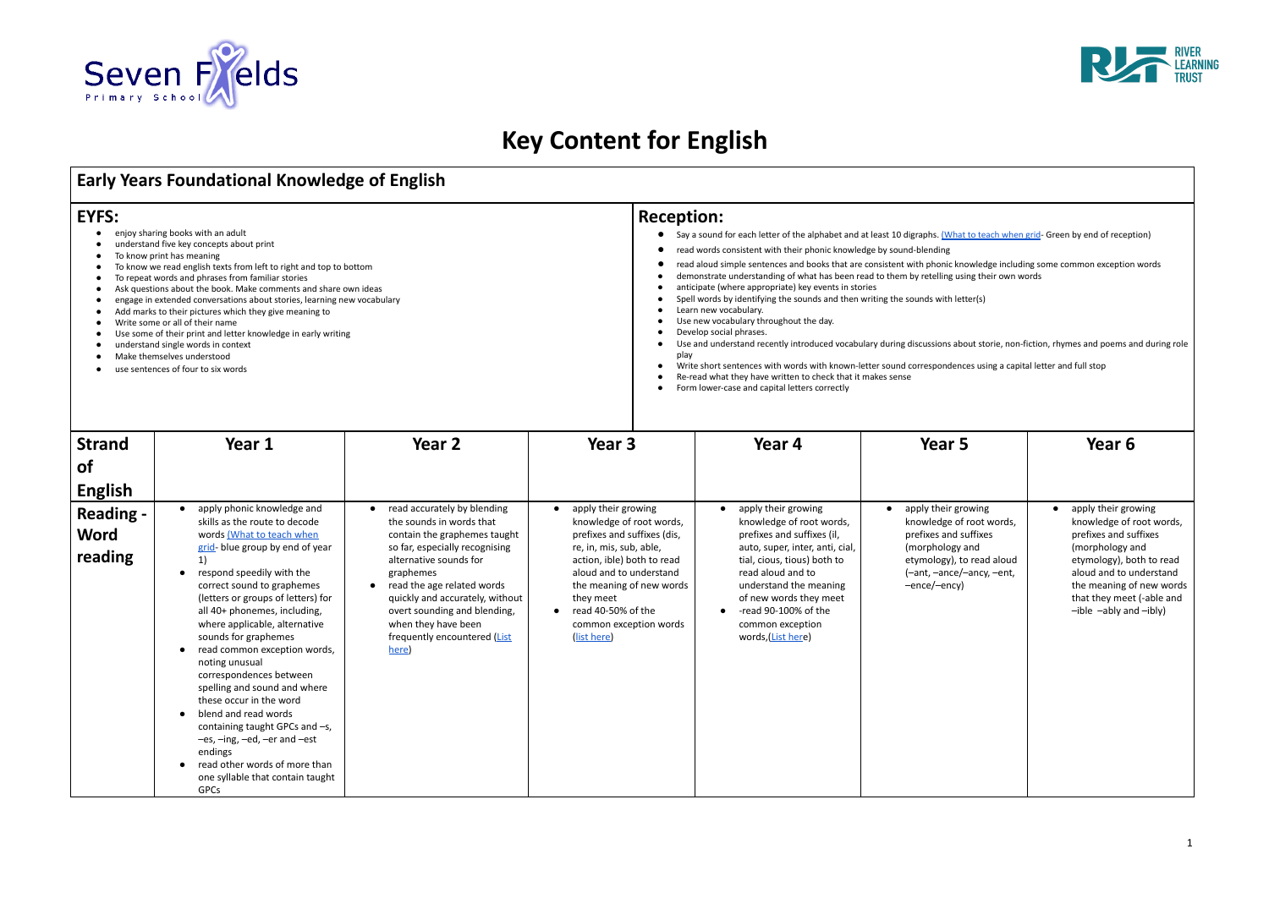# **Key Content for English**

## **Early Years Foundational Knowledge of English**

## **EYFS:**

● read other words of more than one syllable that contain taught

| <b>EYFS:</b><br>enjoy sharing books with an adult<br>understand five key concepts about print<br>To know print has meaning<br>To know we read english texts from left to right and top to bottom<br>To repeat words and phrases from familiar stories<br>Ask questions about the book. Make comments and share own ideas<br>engage in extended conversations about stories, learning new vocabulary<br>Add marks to their pictures which they give meaning to<br>Write some or all of their name<br>Use some of their print and letter knowledge in early writing<br>understand single words in context<br>Make themselves understood |                                                                                                                                                                                                                                                                                                                                                                                                                                                                                                                                                                                                     |                                                                                                                                                                                                                                                                                                                                   |                                                                                                                                                                                                                                                                                      | <b>Reception:</b><br>Say a sound for each letter of the alphabet and at least 10 digraphs. (What to teach when grid- Green by end of reception)<br>$\bullet$<br>read words consistent with their phonic knowledge by sound-blending<br>$\bullet$<br>read aloud simple sentences and books that are consistent with phonic knowledge including some common exception words<br>$\bullet$<br>demonstrate understanding of what has been read to them by retelling using their own words<br>anticipate (where appropriate) key events in stories<br>Spell words by identifying the sounds and then writing the sounds with letter(s)<br>Learn new vocabulary.<br>Use new vocabulary throughout the day.<br>Develop social phrases.<br>$\bullet$<br>Use and understand recently introduced vocabulary during discussions about storie, non-fiction, rhymes and poems and during role<br>play |                                                                                                                                                                       |                                                                                                                                                                                                                                            |  |
|---------------------------------------------------------------------------------------------------------------------------------------------------------------------------------------------------------------------------------------------------------------------------------------------------------------------------------------------------------------------------------------------------------------------------------------------------------------------------------------------------------------------------------------------------------------------------------------------------------------------------------------|-----------------------------------------------------------------------------------------------------------------------------------------------------------------------------------------------------------------------------------------------------------------------------------------------------------------------------------------------------------------------------------------------------------------------------------------------------------------------------------------------------------------------------------------------------------------------------------------------------|-----------------------------------------------------------------------------------------------------------------------------------------------------------------------------------------------------------------------------------------------------------------------------------------------------------------------------------|--------------------------------------------------------------------------------------------------------------------------------------------------------------------------------------------------------------------------------------------------------------------------------------|-----------------------------------------------------------------------------------------------------------------------------------------------------------------------------------------------------------------------------------------------------------------------------------------------------------------------------------------------------------------------------------------------------------------------------------------------------------------------------------------------------------------------------------------------------------------------------------------------------------------------------------------------------------------------------------------------------------------------------------------------------------------------------------------------------------------------------------------------------------------------------------------|-----------------------------------------------------------------------------------------------------------------------------------------------------------------------|--------------------------------------------------------------------------------------------------------------------------------------------------------------------------------------------------------------------------------------------|--|
| <b>Strand</b><br><b>of</b><br><b>English</b>                                                                                                                                                                                                                                                                                                                                                                                                                                                                                                                                                                                          | use sentences of four to six words<br>Year 1                                                                                                                                                                                                                                                                                                                                                                                                                                                                                                                                                        | Year <sub>2</sub>                                                                                                                                                                                                                                                                                                                 | Year 3                                                                                                                                                                                                                                                                               | Write short sentences with words with known-letter sound correspondences using a capital letter and full stop<br>Re-read what they have written to check that it makes sense<br>Form lower-case and capital letters correctly<br>Year 4                                                                                                                                                                                                                                                                                                                                                                                                                                                                                                                                                                                                                                                 | Year 5                                                                                                                                                                | Year <sub>6</sub>                                                                                                                                                                                                                          |  |
| <b>Reading -</b><br><b>Word</b><br>reading                                                                                                                                                                                                                                                                                                                                                                                                                                                                                                                                                                                            | apply phonic knowledge and<br>skills as the route to decode<br>words (What to teach when<br>grid-blue group by end of year<br>1)<br>respond speedily with the<br>$\bullet$<br>correct sound to graphemes<br>(letters or groups of letters) for<br>all 40+ phonemes, including,<br>where applicable, alternative<br>sounds for graphemes<br>read common exception words,<br>$\bullet$<br>noting unusual<br>correspondences between<br>spelling and sound and where<br>these occur in the word<br>blend and read words<br>$\bullet$<br>containing taught GPCs and -s,<br>-es, -ing, -ed, -er and -est | read accurately by blending<br>the sounds in words that<br>contain the graphemes taught<br>so far, especially recognising<br>alternative sounds for<br>graphemes<br>read the age related words<br>quickly and accurately, without<br>overt sounding and blending,<br>when they have been<br>frequently encountered (List<br>here) | apply their growing<br>knowledge of root words,<br>prefixes and suffixes (dis,<br>re, in, mis, sub, able,<br>action, ible) both to read<br>aloud and to understand<br>the meaning of new words<br>they meet<br>$\bullet$ read 40-50% of the<br>common exception words<br>(list here) | apply their growing<br>knowledge of root words,<br>prefixes and suffixes (il,<br>auto, super, inter, anti, cial,<br>tial, cious, tious) both to<br>read aloud and to<br>understand the meaning<br>of new words they meet<br>-read 90-100% of the<br>$\bullet$<br>common exception<br>words, (List here)                                                                                                                                                                                                                                                                                                                                                                                                                                                                                                                                                                                 | apply their growing<br>knowledge of root words,<br>prefixes and suffixes<br>(morphology and<br>etymology), to read aloud<br>(-ant, -ance/-ancy, -ent,<br>-ence/-ency) | apply their growing<br>knowledge of root words,<br>prefixes and suffixes<br>(morphology and<br>etymology), both to read<br>aloud and to understand<br>the meaning of new words<br>that they meet (-able and<br>$-ible -ably$ and $-ibly$ ) |  |





endings

GPCs

| digraphs. (What to teach when grid- Green by end of reception)<br>าd-blending<br>with phonic knowledge including some common exception words<br>by retelling using their own words<br>sounds with letter(s) |                                                                                                                                                                                                                                            |  |  |  |  |  |
|-------------------------------------------------------------------------------------------------------------------------------------------------------------------------------------------------------------|--------------------------------------------------------------------------------------------------------------------------------------------------------------------------------------------------------------------------------------------|--|--|--|--|--|
| correspondences using a capital letter and full stop<br>ë                                                                                                                                                   | discussions about storie, non-fiction, rhymes and poems and during role                                                                                                                                                                    |  |  |  |  |  |
| Year 5                                                                                                                                                                                                      | Year 6                                                                                                                                                                                                                                     |  |  |  |  |  |
| apply their growing<br>knowledge of root words,<br>prefixes and suffixes<br>(morphology and<br>etymology), to read aloud<br>(-ant, -ance/-ancy, -ent,<br>-ence/-ency)                                       | apply their growing<br>knowledge of root words,<br>prefixes and suffixes<br>(morphology and<br>etymology), both to read<br>aloud and to understand<br>the meaning of new words<br>that they meet (-able and<br>$-ible -ably$ and $-ibly$ ) |  |  |  |  |  |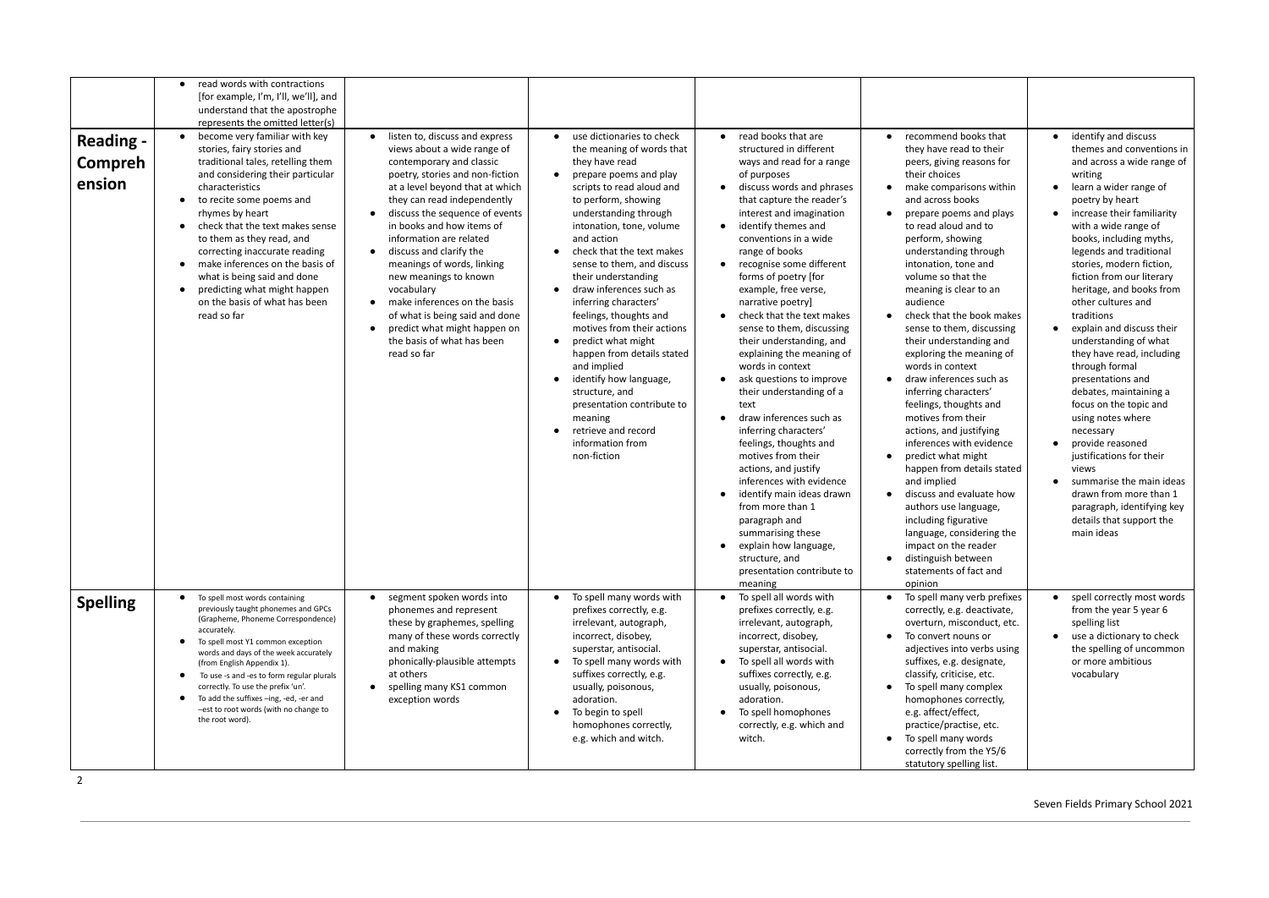|                                       | read words with contractions<br>[for example, I'm, I'll, we'll], and<br>understand that the apostrophe<br>represents the omitted letter(s)                                                                                                                                                                                                                                                                                                                                                                                 |                                                                                                                                                                                                                                                                                                                                                                                                                                                                                                                                                                       |                                                                                                                                                                                                                                                                                                                                                                                                                                                                                                                                                                                                                                                                                                                         |                                                                                                                                                                                                                                                                                                                                                                                                                                                                                                                                                                                                                                                                                                                                                                                                                                                                                                                                                                                          |                                                                                                                                                                                                                                                                                                                                                                                                                                                                                                                                                                                                                                                                                                                                                                                                                                                                                                                                                                                                           |                                                                                                                                                                                                                                                                                                                                                                                                                                                                                                                                                                                                                                                                                                                                                                                     |
|---------------------------------------|----------------------------------------------------------------------------------------------------------------------------------------------------------------------------------------------------------------------------------------------------------------------------------------------------------------------------------------------------------------------------------------------------------------------------------------------------------------------------------------------------------------------------|-----------------------------------------------------------------------------------------------------------------------------------------------------------------------------------------------------------------------------------------------------------------------------------------------------------------------------------------------------------------------------------------------------------------------------------------------------------------------------------------------------------------------------------------------------------------------|-------------------------------------------------------------------------------------------------------------------------------------------------------------------------------------------------------------------------------------------------------------------------------------------------------------------------------------------------------------------------------------------------------------------------------------------------------------------------------------------------------------------------------------------------------------------------------------------------------------------------------------------------------------------------------------------------------------------------|------------------------------------------------------------------------------------------------------------------------------------------------------------------------------------------------------------------------------------------------------------------------------------------------------------------------------------------------------------------------------------------------------------------------------------------------------------------------------------------------------------------------------------------------------------------------------------------------------------------------------------------------------------------------------------------------------------------------------------------------------------------------------------------------------------------------------------------------------------------------------------------------------------------------------------------------------------------------------------------|-----------------------------------------------------------------------------------------------------------------------------------------------------------------------------------------------------------------------------------------------------------------------------------------------------------------------------------------------------------------------------------------------------------------------------------------------------------------------------------------------------------------------------------------------------------------------------------------------------------------------------------------------------------------------------------------------------------------------------------------------------------------------------------------------------------------------------------------------------------------------------------------------------------------------------------------------------------------------------------------------------------|-------------------------------------------------------------------------------------------------------------------------------------------------------------------------------------------------------------------------------------------------------------------------------------------------------------------------------------------------------------------------------------------------------------------------------------------------------------------------------------------------------------------------------------------------------------------------------------------------------------------------------------------------------------------------------------------------------------------------------------------------------------------------------------|
| <b>Reading -</b><br>Compreh<br>ension | become very familiar with key<br>$\bullet$<br>stories, fairy stories and<br>traditional tales, retelling them<br>and considering their particular<br>characteristics<br>to recite some poems and<br>$\bullet$<br>rhymes by heart<br>check that the text makes sense<br>$\bullet$<br>to them as they read, and<br>correcting inaccurate reading<br>make inferences on the basis of<br>$\bullet$<br>what is being said and done<br>predicting what might happen<br>$\bullet$<br>on the basis of what has been<br>read so far | • listen to, discuss and express<br>views about a wide range of<br>contemporary and classic<br>poetry, stories and non-fiction<br>at a level beyond that at which<br>they can read independently<br>discuss the sequence of events<br>in books and how items of<br>information are related<br>discuss and clarify the<br>$\bullet$<br>meanings of words, linking<br>new meanings to known<br>vocabulary<br>• make inferences on the basis<br>of what is being said and done<br>predict what might happen on<br>$\bullet$<br>the basis of what has been<br>read so far | use dictionaries to check<br>$\bullet$<br>the meaning of words that<br>they have read<br>prepare poems and play<br>$\bullet$<br>scripts to read aloud and<br>to perform, showing<br>understanding through<br>intonation, tone, volume<br>and action<br>check that the text makes<br>sense to them, and discuss<br>their understanding<br>draw inferences such as<br>$\bullet$<br>inferring characters'<br>feelings, thoughts and<br>motives from their actions<br>predict what might<br>$\bullet$<br>happen from details stated<br>and implied<br>identify how language,<br>$\bullet$<br>structure, and<br>presentation contribute to<br>meaning<br>retrieve and record<br>$\bullet$<br>information from<br>non-fiction | read books that are<br>$\bullet$<br>structured in different<br>ways and read for a range<br>of purposes<br>discuss words and phrases<br>$\bullet$<br>that capture the reader's<br>interest and imagination<br>identify themes and<br>$\bullet$<br>conventions in a wide<br>range of books<br>recognise some different<br>$\bullet$<br>forms of poetry [for<br>example, free verse,<br>narrative poetry]<br>check that the text makes<br>$\bullet$<br>sense to them, discussing<br>their understanding, and<br>explaining the meaning of<br>words in context<br>ask questions to improve<br>their understanding of a<br>text<br>draw inferences such as<br>$\bullet$<br>inferring characters'<br>feelings, thoughts and<br>motives from their<br>actions, and justify<br>inferences with evidence<br>identify main ideas drawn<br>from more than 1<br>paragraph and<br>summarising these<br>explain how language,<br>$\bullet$<br>structure, and<br>presentation contribute to<br>meaning | recommend books that<br>$\bullet$<br>they have read to their<br>peers, giving reasons for<br>their choices<br>make comparisons within<br>$\bullet$<br>and across books<br>prepare poems and plays<br>$\bullet$<br>to read aloud and to<br>perform, showing<br>understanding through<br>intonation, tone and<br>volume so that the<br>meaning is clear to an<br>audience<br>check that the book makes<br>$\bullet$<br>sense to them, discussing<br>their understanding and<br>exploring the meaning of<br>words in context<br>draw inferences such as<br>$\bullet$<br>inferring characters'<br>feelings, thoughts and<br>motives from their<br>actions, and justifying<br>inferences with evidence<br>predict what might<br>$\bullet$<br>happen from details stated<br>and implied<br>discuss and evaluate how<br>$\bullet$<br>authors use language,<br>including figurative<br>language, considering the<br>impact on the reader<br>distinguish between<br>$\bullet$<br>statements of fact and<br>opinion | identify and discuss<br>themes and conventions in<br>and across a wide range of<br>writing<br>learn a wider range of<br>poetry by heart<br>increase their familiarity<br>with a wide range of<br>books, including myths,<br>legends and traditional<br>stories, modern fiction,<br>fiction from our literary<br>heritage, and books from<br>other cultures and<br>traditions<br>explain and discuss their<br>understanding of what<br>they have read, including<br>through formal<br>presentations and<br>debates, maintaining a<br>focus on the topic and<br>using notes where<br>necessary<br>provide reasoned<br>justifications for their<br>views<br>summarise the main ideas<br>drawn from more than 1<br>paragraph, identifying key<br>details that support the<br>main ideas |
| <b>Spelling</b>                       | To spell most words containing<br>$\bullet$<br>previously taught phonemes and GPCs<br>(Grapheme, Phoneme Correspondence)<br>accurately.<br>To spell most Y1 common exception<br>words and days of the week accurately<br>(from English Appendix 1).<br>To use -s and -es to form regular plurals<br>$\bullet$<br>correctly. To use the prefix 'un'.<br>To add the suffixes -ing, -ed, -er and<br>$\bullet$<br>-est to root words (with no change to<br>the root word).                                                     | • segment spoken words into<br>phonemes and represent<br>these by graphemes, spelling<br>many of these words correctly<br>and making<br>phonically-plausible attempts<br>at others<br>spelling many KS1 common<br>$\bullet$<br>exception words                                                                                                                                                                                                                                                                                                                        | To spell many words with<br>prefixes correctly, e.g.<br>irrelevant, autograph,<br>incorrect, disobey,<br>superstar, antisocial.<br>To spell many words with<br>suffixes correctly, e.g.<br>usually, poisonous,<br>adoration.<br>To begin to spell<br>$\bullet$<br>homophones correctly,<br>e.g. which and witch.                                                                                                                                                                                                                                                                                                                                                                                                        | To spell all words with<br>prefixes correctly, e.g.<br>irrelevant, autograph,<br>incorrect, disobey,<br>superstar, antisocial.<br>To spell all words with<br>$\bullet$<br>suffixes correctly, e.g.<br>usually, poisonous,<br>adoration.<br>To spell homophones<br>correctly, e.g. which and<br>witch.                                                                                                                                                                                                                                                                                                                                                                                                                                                                                                                                                                                                                                                                                    | To spell many verb prefixes<br>correctly, e.g. deactivate,<br>overturn, misconduct, etc.<br>To convert nouns or<br>$\bullet$<br>adjectives into verbs using<br>suffixes, e.g. designate,<br>classify, criticise, etc.<br>To spell many complex<br>$\bullet$<br>homophones correctly,<br>e.g. affect/effect,<br>practice/practise, etc.<br>To spell many words<br>$\bullet$<br>correctly from the Y5/6<br>statutory spelling list.                                                                                                                                                                                                                                                                                                                                                                                                                                                                                                                                                                         | spell correctly most words<br>from the year 5 year 6<br>spelling list<br>use a dictionary to check<br>the spelling of uncommon<br>or more ambitious<br>vocabulary                                                                                                                                                                                                                                                                                                                                                                                                                                                                                                                                                                                                                   |

2

### Seven Fields Primary School 2021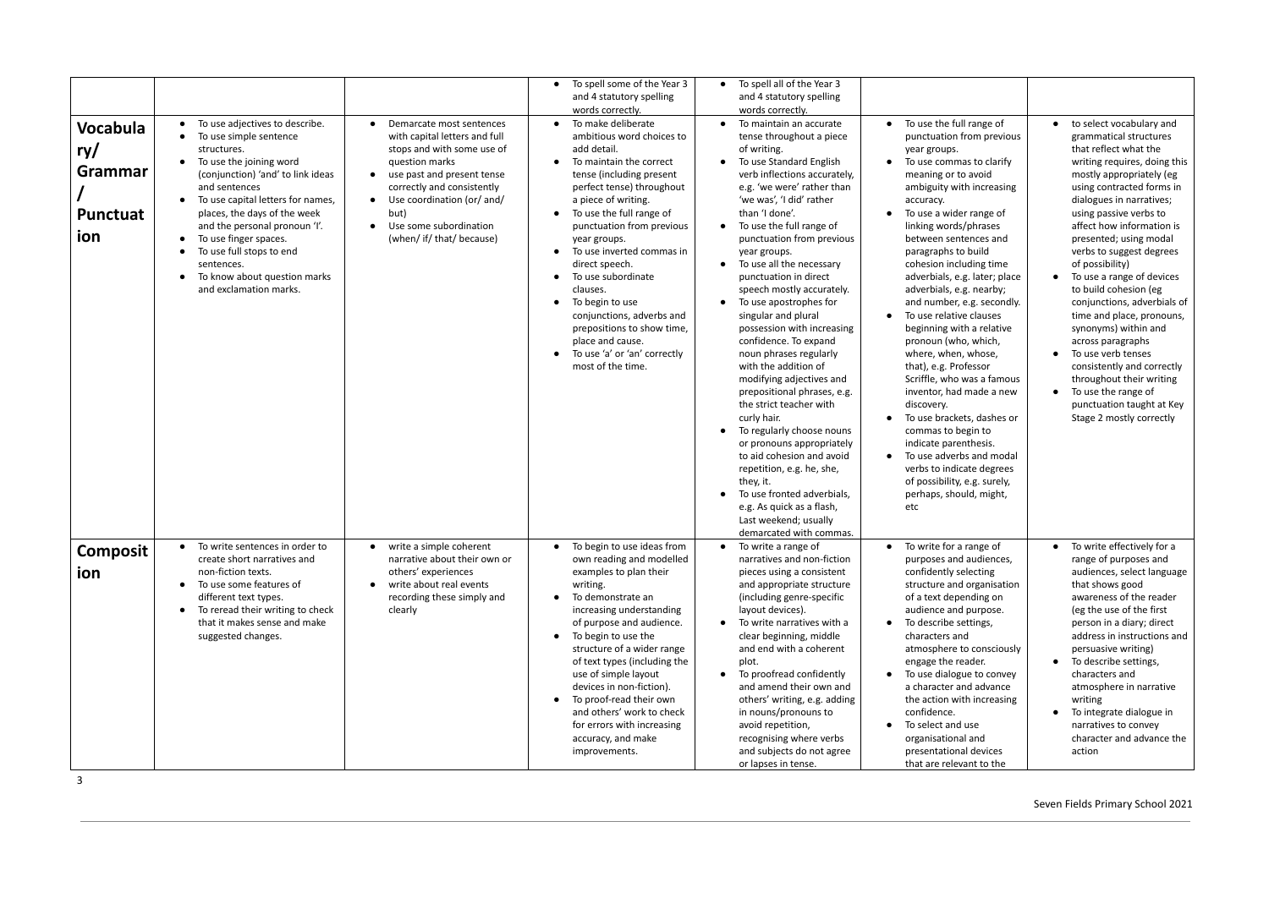| <b>Vocabula</b><br>ry/<br>Grammar<br><b>Punctuat</b><br>ion | To use adjectives to describe.<br>To use simple sentence<br>$\bullet$<br>structures.<br>To use the joining word<br>(conjunction) 'and' to link ideas<br>and sentences<br>To use capital letters for names,<br>places, the days of the week<br>and the personal pronoun 'I'.<br>To use finger spaces.<br>$\bullet$<br>To use full stops to end<br>sentences.<br>To know about question marks<br>and exclamation marks. | Demarcate most sentences<br>with capital letters and full<br>stops and with some use of<br>question marks<br>• use past and present tense<br>correctly and consistently<br>Use coordination (or/ and/<br>$\bullet$<br>but)<br>Use some subordination<br>$\bullet$<br>(when/ if/ that/ because) | To spell some of the Year 3<br>and 4 statutory spelling<br>words correctly.<br>To make deliberate<br>ambitious word choices to<br>add detail.<br>To maintain the correct<br>$\bullet$<br>tense (including present<br>perfect tense) throughout<br>a piece of writing.<br>To use the full range of<br>$\bullet$<br>punctuation from previous<br>year groups.<br>To use inverted commas in<br>$\bullet$<br>direct speech.<br>To use subordinate<br>$\bullet$<br>clauses.<br>To begin to use<br>$\bullet$<br>conjunctions, adverbs and<br>prepositions to show time,<br>place and cause.<br>To use 'a' or 'an' correctly<br>$\bullet$<br>most of the time. | To spell all of the Year 3<br>$\bullet$<br>and 4 statutory spelling<br>words correctly.<br>To maintain an accurate<br>tense throughout a piece<br>of writing.<br>To use Standard English<br>verb inflections accurately,<br>e.g. 'we were' rather than<br>'we was', 'I did' rather<br>than 'I done'.<br>To use the full range of<br>$\bullet$<br>punctuation from previous<br>year groups.<br>To use all the necessary<br>$\bullet$<br>punctuation in direct<br>speech mostly accurately.<br>To use apostrophes for<br>$\bullet$<br>singular and plural<br>possession with increasing<br>confidence. To expand<br>noun phrases regularly<br>with the addition of<br>modifying adjectives and<br>prepositional phrases, e.g.<br>the strict teacher with<br>curly hair.<br>To regularly choose nouns<br>or pronouns appropriately<br>to aid cohesion and avoid<br>repetition, e.g. he, she,<br>they, it.<br>To use fronted adverbials,<br>e.g. As quick as a flash,<br>Last weekend; usually<br>demarcated with commas. | To use the full range of<br>punctuation from previous<br>year groups.<br>To use commas to clarify<br>$\bullet$<br>meaning or to avoid<br>ambiguity with increasing<br>accuracy.<br>To use a wider range of<br>linking words/phrases<br>between sentences and<br>paragraphs to build<br>cohesion including time<br>adverbials, e.g. later; place<br>adverbials, e.g. nearby;<br>and number, e.g. secondly.<br>To use relative clauses<br>$\bullet$<br>beginning with a relative<br>pronoun (who, which,<br>where, when, whose,<br>that), e.g. Professor<br>Scriffle, who was a famous<br>inventor, had made a new<br>discovery.<br>To use brackets, dashes or<br>commas to begin to<br>indicate parenthesis.<br>To use adverbs and modal<br>$\bullet$<br>verbs to indicate degrees<br>of possibility, e.g. surely,<br>perhaps, should, might,<br>etc | to select vocabulary and<br>grammatical structures<br>that reflect what the<br>writing requires, doing this<br>mostly appropriately (eg<br>using contracted forms in<br>dialogues in narratives;<br>using passive verbs to<br>affect how information is<br>presented; using modal<br>verbs to suggest degrees<br>of possibility)<br>To use a range of devices<br>to build cohesion (eg<br>conjunctions, adverbials of<br>time and place, pronouns,<br>synonyms) within and<br>across paragraphs<br>To use verb tenses<br>consistently and correctly<br>throughout their writing<br>To use the range of<br>punctuation taught at Key<br>Stage 2 mostly correctly |
|-------------------------------------------------------------|-----------------------------------------------------------------------------------------------------------------------------------------------------------------------------------------------------------------------------------------------------------------------------------------------------------------------------------------------------------------------------------------------------------------------|------------------------------------------------------------------------------------------------------------------------------------------------------------------------------------------------------------------------------------------------------------------------------------------------|---------------------------------------------------------------------------------------------------------------------------------------------------------------------------------------------------------------------------------------------------------------------------------------------------------------------------------------------------------------------------------------------------------------------------------------------------------------------------------------------------------------------------------------------------------------------------------------------------------------------------------------------------------|-----------------------------------------------------------------------------------------------------------------------------------------------------------------------------------------------------------------------------------------------------------------------------------------------------------------------------------------------------------------------------------------------------------------------------------------------------------------------------------------------------------------------------------------------------------------------------------------------------------------------------------------------------------------------------------------------------------------------------------------------------------------------------------------------------------------------------------------------------------------------------------------------------------------------------------------------------------------------------------------------------------------------|-----------------------------------------------------------------------------------------------------------------------------------------------------------------------------------------------------------------------------------------------------------------------------------------------------------------------------------------------------------------------------------------------------------------------------------------------------------------------------------------------------------------------------------------------------------------------------------------------------------------------------------------------------------------------------------------------------------------------------------------------------------------------------------------------------------------------------------------------------|-----------------------------------------------------------------------------------------------------------------------------------------------------------------------------------------------------------------------------------------------------------------------------------------------------------------------------------------------------------------------------------------------------------------------------------------------------------------------------------------------------------------------------------------------------------------------------------------------------------------------------------------------------------------|
| <b>Composit</b><br>ion                                      | To write sentences in order to<br>$\bullet$<br>create short narratives and<br>non-fiction texts.<br>To use some features of<br>$\bullet$<br>different text types.<br>To reread their writing to check<br>$\bullet$<br>that it makes sense and make<br>suggested changes.                                                                                                                                              | • write a simple coherent<br>narrative about their own or<br>others' experiences<br>write about real events<br>$\bullet$<br>recording these simply and<br>clearly                                                                                                                              | To begin to use ideas from<br>$\bullet$<br>own reading and modelled<br>examples to plan their<br>writing.<br>To demonstrate an<br>$\bullet$<br>increasing understanding<br>of purpose and audience.<br>To begin to use the<br>$\bullet$<br>structure of a wider range<br>of text types (including the<br>use of simple layout<br>devices in non-fiction).<br>To proof-read their own<br>$\bullet$<br>and others' work to check<br>for errors with increasing<br>accuracy, and make<br>improvements.                                                                                                                                                     | To write a range of<br>$\bullet$<br>narratives and non-fiction<br>pieces using a consistent<br>and appropriate structure<br>(including genre-specific<br>layout devices).<br>To write narratives with a<br>$\bullet$<br>clear beginning, middle<br>and end with a coherent<br>plot.<br>To proofread confidently<br>$\bullet$<br>and amend their own and<br>others' writing, e.g. adding<br>in nouns/pronouns to<br>avoid repetition,<br>recognising where verbs<br>and subjects do not agree<br>or lapses in tense.                                                                                                                                                                                                                                                                                                                                                                                                                                                                                                   | • To write for a range of<br>purposes and audiences,<br>confidently selecting<br>structure and organisation<br>of a text depending on<br>audience and purpose.<br>To describe settings,<br>$\bullet$<br>characters and<br>atmosphere to consciously<br>engage the reader.<br>To use dialogue to convey<br>$\bullet$<br>a character and advance<br>the action with increasing<br>confidence.<br>To select and use<br>$\bullet$<br>organisational and<br>presentational devices<br>that are relevant to the                                                                                                                                                                                                                                                                                                                                           | To write effectively for a<br>$\bullet$<br>range of purposes and<br>audiences, select language<br>that shows good<br>awareness of the reader<br>(eg the use of the first<br>person in a diary; direct<br>address in instructions and<br>persuasive writing)<br>To describe settings,<br>$\bullet$<br>characters and<br>atmosphere in narrative<br>writing<br>To integrate dialogue in<br>narratives to convey<br>character and advance the<br>action                                                                                                                                                                                                            |

3

Seven Fields Primary School 2021